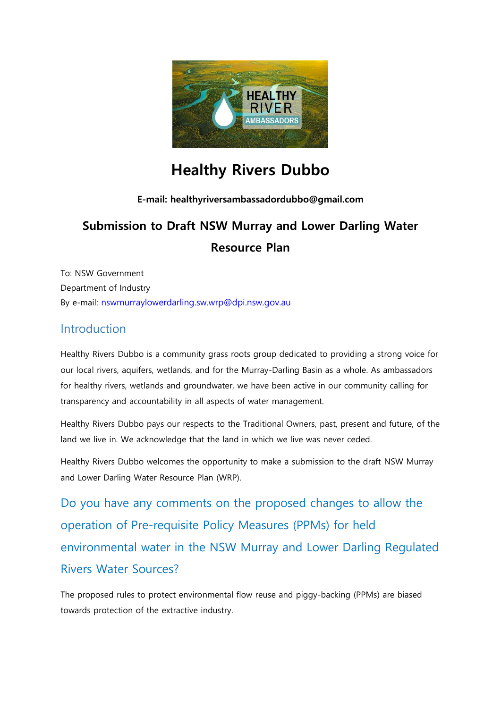

# **Healthy Rivers Dubbo**

### **E-mail: healthyriversambassadordubbo@gmail.com**

# **Submission to Draft NSW Murray and Lower Darling Water Resource Plan**

To: NSW Government Department of Industry By e-mail: [nswmurraylowerdarling.sw.wrp@dpi.nsw.gov.au](mailto:nswmurraylowerdarling.sw.wrp@dpi.nsw.gov.au)

### **Introduction**

Healthy Rivers Dubbo is a community grass roots group dedicated to providing a strong voice for our local rivers, aquifers, wetlands, and for the Murray-Darling Basin as a whole. As ambassadors for healthy rivers, wetlands and groundwater, we have been active in our community calling for transparency and accountability in all aspects of water management.

Healthy Rivers Dubbo pays our respects to the Traditional Owners, past, present and future, of the land we live in. We acknowledge that the land in which we live was never ceded.

Healthy Rivers Dubbo welcomes the opportunity to make a submission to the draft NSW Murray and Lower Darling Water Resource Plan (WRP).

Do you have any comments on the proposed changes to allow the operation of Pre-requisite Policy Measures (PPMs) for held environmental water in the NSW Murray and Lower Darling Regulated Rivers Water Sources?

The proposed rules to protect environmental flow reuse and piggy-backing (PPMs) are biased towards protection of the extractive industry.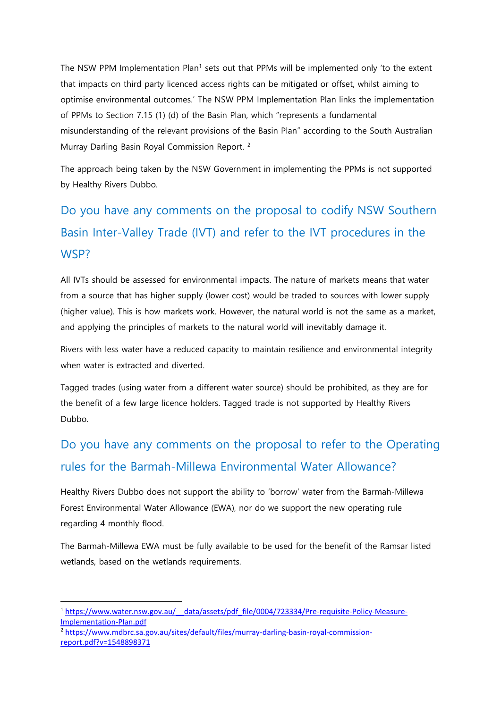The NSW PPM Implementation Plan<sup>1</sup> sets out that PPMs will be implemented only 'to the extent that impacts on third party licenced access rights can be mitigated or offset, whilst aiming to optimise environmental outcomes.' The NSW PPM Implementation Plan links the implementation of PPMs to Section 7.15 (1) (d) of the Basin Plan, which "represents a fundamental misunderstanding of the relevant provisions of the Basin Plan" according to the South Australian Murray Darling Basin Royal Commission Report. <sup>2</sup>

The approach being taken by the NSW Government in implementing the PPMs is not supported by Healthy Rivers Dubbo.

Do you have any comments on the proposal to codify NSW Southern Basin Inter-Valley Trade (IVT) and refer to the IVT procedures in the WSP?

All IVTs should be assessed for environmental impacts. The nature of markets means that water from a source that has higher supply (lower cost) would be traded to sources with lower supply (higher value). This is how markets work. However, the natural world is not the same as a market, and applying the principles of markets to the natural world will inevitably damage it.

Rivers with less water have a reduced capacity to maintain resilience and environmental integrity when water is extracted and diverted.

Tagged trades (using water from a different water source) should be prohibited, as they are for the benefit of a few large licence holders. Tagged trade is not supported by Healthy Rivers Dubbo.

## Do you have any comments on the proposal to refer to the Operating rules for the Barmah-Millewa Environmental Water Allowance?

Healthy Rivers Dubbo does not support the ability to 'borrow' water from the Barmah-Millewa Forest Environmental Water Allowance (EWA), nor do we support the new operating rule regarding 4 monthly flood.

The Barmah-Millewa EWA must be fully available to be used for the benefit of the Ramsar listed wetlands, based on the wetlands requirements.

**.** 

<sup>&</sup>lt;sup>1</sup> https://www.water.nsw.gov.au/ data/assets/pdf file/0004/723334/Pre-requisite-Policy-Measure-[Implementation-Plan.pdf](https://www.water.nsw.gov.au/__data/assets/pdf_file/0004/723334/Pre-requisite-Policy-Measure-Implementation-Plan.pdf)

<sup>2</sup> [https://www.mdbrc.sa.gov.au/sites/default/files/murray-darling-basin-royal-commission](https://www.mdbrc.sa.gov.au/sites/default/files/murray-darling-basin-royal-commission-report.pdf?v=1548898371)[report.pdf?v=1548898371](https://www.mdbrc.sa.gov.au/sites/default/files/murray-darling-basin-royal-commission-report.pdf?v=1548898371)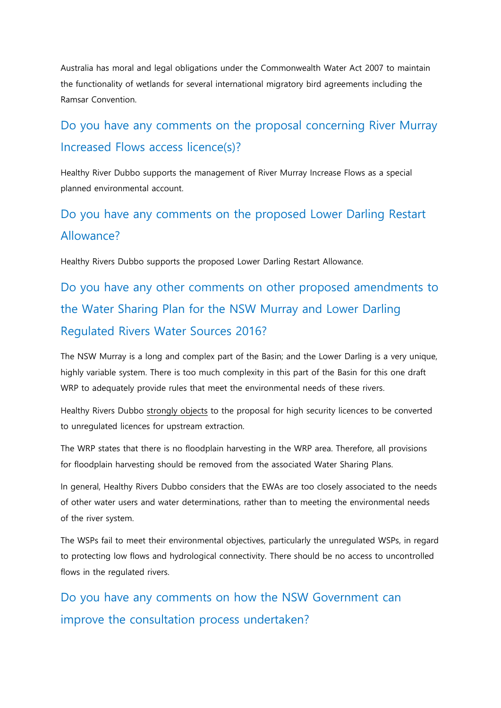Australia has moral and legal obligations under the Commonwealth Water Act 2007 to maintain the functionality of wetlands for several international migratory bird agreements including the Ramsar Convention.

## Do you have any comments on the proposal concerning River Murray Increased Flows access licence(s)?

Healthy River Dubbo supports the management of River Murray Increase Flows as a special planned environmental account.

## Do you have any comments on the proposed Lower Darling Restart Allowance?

Healthy Rivers Dubbo supports the proposed Lower Darling Restart Allowance.

Do you have any other comments on other proposed amendments to the Water Sharing Plan for the NSW Murray and Lower Darling Regulated Rivers Water Sources 2016?

The NSW Murray is a long and complex part of the Basin; and the Lower Darling is a very unique, highly variable system. There is too much complexity in this part of the Basin for this one draft WRP to adequately provide rules that meet the environmental needs of these rivers.

Healthy Rivers Dubbo strongly objects to the proposal for high security licences to be converted to unregulated licences for upstream extraction.

The WRP states that there is no floodplain harvesting in the WRP area. Therefore, all provisions for floodplain harvesting should be removed from the associated Water Sharing Plans.

In general, Healthy Rivers Dubbo considers that the EWAs are too closely associated to the needs of other water users and water determinations, rather than to meeting the environmental needs of the river system.

The WSPs fail to meet their environmental objectives, particularly the unregulated WSPs, in regard to protecting low flows and hydrological connectivity. There should be no access to uncontrolled flows in the regulated rivers.

Do you have any comments on how the NSW Government can improve the consultation process undertaken?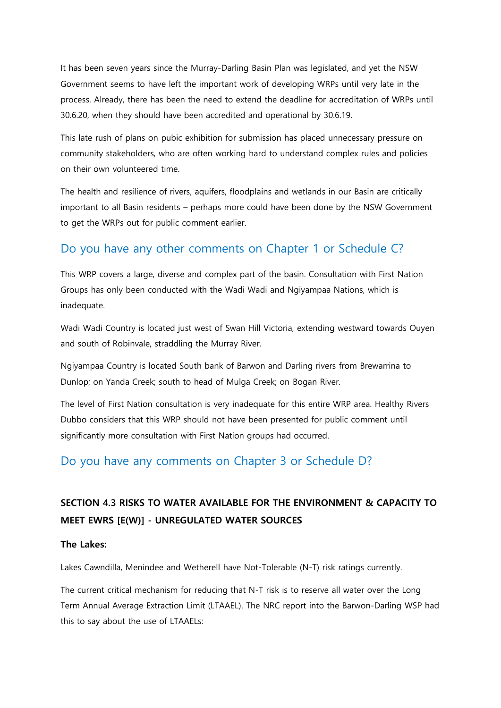It has been seven years since the Murray-Darling Basin Plan was legislated, and yet the NSW Government seems to have left the important work of developing WRPs until very late in the process. Already, there has been the need to extend the deadline for accreditation of WRPs until 30.6.20, when they should have been accredited and operational by 30.6.19.

This late rush of plans on pubic exhibition for submission has placed unnecessary pressure on community stakeholders, who are often working hard to understand complex rules and policies on their own volunteered time.

The health and resilience of rivers, aquifers, floodplains and wetlands in our Basin are critically important to all Basin residents – perhaps more could have been done by the NSW Government to get the WRPs out for public comment earlier.

## Do you have any other comments on Chapter 1 or Schedule C?

This WRP covers a large, diverse and complex part of the basin. Consultation with First Nation Groups has only been conducted with the Wadi Wadi and Ngiyampaa Nations, which is inadequate.

Wadi Wadi Country is located just west of Swan Hill Victoria, extending westward towards Ouyen and south of Robinvale, straddling the Murray River.

Ngiyampaa Country is located South bank of Barwon and Darling rivers from Brewarrina to Dunlop; on Yanda Creek; south to head of Mulga Creek; on Bogan River.

The level of First Nation consultation is very inadequate for this entire WRP area. Healthy Rivers Dubbo considers that this WRP should not have been presented for public comment until significantly more consultation with First Nation groups had occurred.

### Do you have any comments on Chapter 3 or Schedule D?

## **SECTION 4.3 RISKS TO WATER AVAILABLE FOR THE ENVIRONMENT & CAPACITY TO MEET EWRS [E(W)] - UNREGULATED WATER SOURCES**

#### **The Lakes:**

Lakes Cawndilla, Menindee and Wetherell have Not-Tolerable (N-T) risk ratings currently.

The current critical mechanism for reducing that N-T risk is to reserve all water over the Long Term Annual Average Extraction Limit (LTAAEL). The NRC report into the Barwon-Darling WSP had this to say about the use of LTAAELs: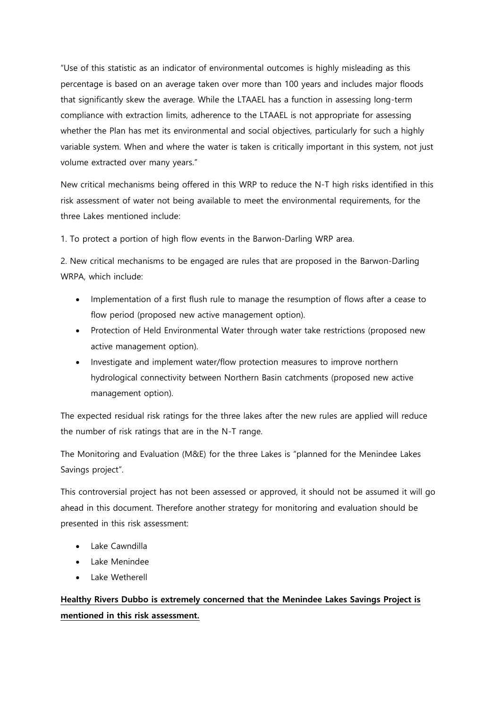"Use of this statistic as an indicator of environmental outcomes is highly misleading as this percentage is based on an average taken over more than 100 years and includes major floods that significantly skew the average. While the LTAAEL has a function in assessing long-term compliance with extraction limits, adherence to the LTAAEL is not appropriate for assessing whether the Plan has met its environmental and social objectives, particularly for such a highly variable system. When and where the water is taken is critically important in this system, not just volume extracted over many years."

New critical mechanisms being offered in this WRP to reduce the N-T high risks identified in this risk assessment of water not being available to meet the environmental requirements, for the three Lakes mentioned include:

1. To protect a portion of high flow events in the Barwon-Darling WRP area.

2. New critical mechanisms to be engaged are rules that are proposed in the Barwon-Darling WRPA, which include:

- Implementation of a first flush rule to manage the resumption of flows after a cease to flow period (proposed new active management option).
- Protection of Held Environmental Water through water take restrictions (proposed new active management option).
- Investigate and implement water/flow protection measures to improve northern hydrological connectivity between Northern Basin catchments (proposed new active management option).

The expected residual risk ratings for the three lakes after the new rules are applied will reduce the number of risk ratings that are in the N-T range.

The Monitoring and Evaluation (M&E) for the three Lakes is "planned for the Menindee Lakes Savings project".

This controversial project has not been assessed or approved, it should not be assumed it will go ahead in this document. Therefore another strategy for monitoring and evaluation should be presented in this risk assessment:

- Lake Cawndilla
- Lake Menindee
- Lake Wetherell

### **Healthy Rivers Dubbo is extremely concerned that the Menindee Lakes Savings Project is mentioned in this risk assessment.**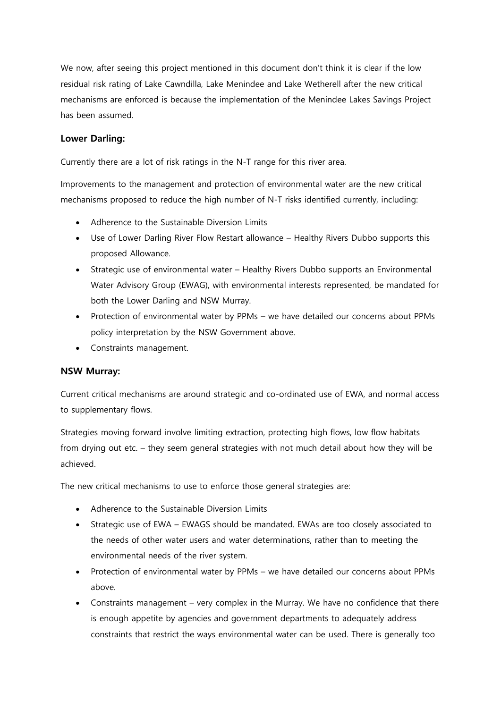We now, after seeing this project mentioned in this document don't think it is clear if the low residual risk rating of Lake Cawndilla, Lake Menindee and Lake Wetherell after the new critical mechanisms are enforced is because the implementation of the Menindee Lakes Savings Project has been assumed.

#### **Lower Darling:**

Currently there are a lot of risk ratings in the N-T range for this river area.

Improvements to the management and protection of environmental water are the new critical mechanisms proposed to reduce the high number of N-T risks identified currently, including:

- Adherence to the Sustainable Diversion Limits
- Use of Lower Darling River Flow Restart allowance Healthy Rivers Dubbo supports this proposed Allowance.
- Strategic use of environmental water Healthy Rivers Dubbo supports an Environmental Water Advisory Group (EWAG), with environmental interests represented, be mandated for both the Lower Darling and NSW Murray.
- Protection of environmental water by PPMs we have detailed our concerns about PPMs policy interpretation by the NSW Government above.
- Constraints management.

#### **NSW Murray:**

Current critical mechanisms are around strategic and co-ordinated use of EWA, and normal access to supplementary flows.

Strategies moving forward involve limiting extraction, protecting high flows, low flow habitats from drying out etc. – they seem general strategies with not much detail about how they will be achieved.

The new critical mechanisms to use to enforce those general strategies are:

- Adherence to the Sustainable Diversion Limits
- Strategic use of EWA EWAGS should be mandated. EWAs are too closely associated to the needs of other water users and water determinations, rather than to meeting the environmental needs of the river system.
- Protection of environmental water by PPMs we have detailed our concerns about PPMs above.
- Constraints management very complex in the Murray. We have no confidence that there is enough appetite by agencies and government departments to adequately address constraints that restrict the ways environmental water can be used. There is generally too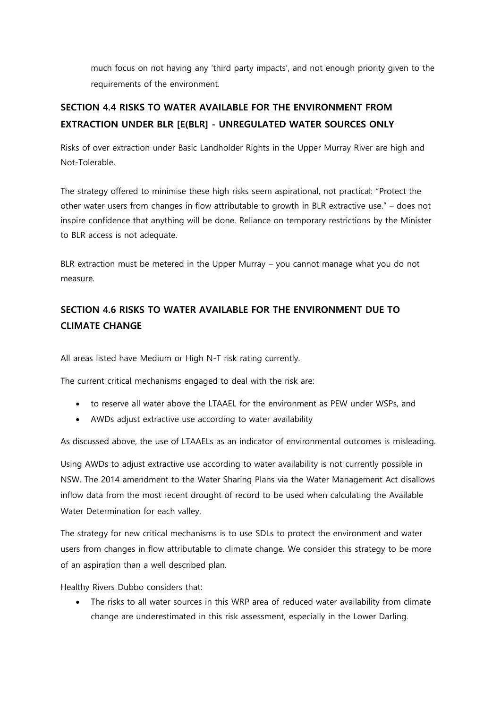much focus on not having any 'third party impacts', and not enough priority given to the requirements of the environment.

## **SECTION 4.4 RISKS TO WATER AVAILABLE FOR THE ENVIRONMENT FROM EXTRACTION UNDER BLR [E(BLR] - UNREGULATED WATER SOURCES ONLY**

Risks of over extraction under Basic Landholder Rights in the Upper Murray River are high and Not-Tolerable.

The strategy offered to minimise these high risks seem aspirational, not practical: "Protect the other water users from changes in flow attributable to growth in BLR extractive use." – does not inspire confidence that anything will be done. Reliance on temporary restrictions by the Minister to BLR access is not adequate.

BLR extraction must be metered in the Upper Murray – you cannot manage what you do not measure.

### **SECTION 4.6 RISKS TO WATER AVAILABLE FOR THE ENVIRONMENT DUE TO CLIMATE CHANGE**

All areas listed have Medium or High N-T risk rating currently.

The current critical mechanisms engaged to deal with the risk are:

- to reserve all water above the LTAAEL for the environment as PEW under WSPs, and
- AWDs adjust extractive use according to water availability

As discussed above, the use of LTAAELs as an indicator of environmental outcomes is misleading.

Using AWDs to adjust extractive use according to water availability is not currently possible in NSW. The 2014 amendment to the Water Sharing Plans via the Water Management Act disallows inflow data from the most recent drought of record to be used when calculating the Available Water Determination for each valley.

The strategy for new critical mechanisms is to use SDLs to protect the environment and water users from changes in flow attributable to climate change. We consider this strategy to be more of an aspiration than a well described plan.

Healthy Rivers Dubbo considers that:

 The risks to all water sources in this WRP area of reduced water availability from climate change are underestimated in this risk assessment, especially in the Lower Darling.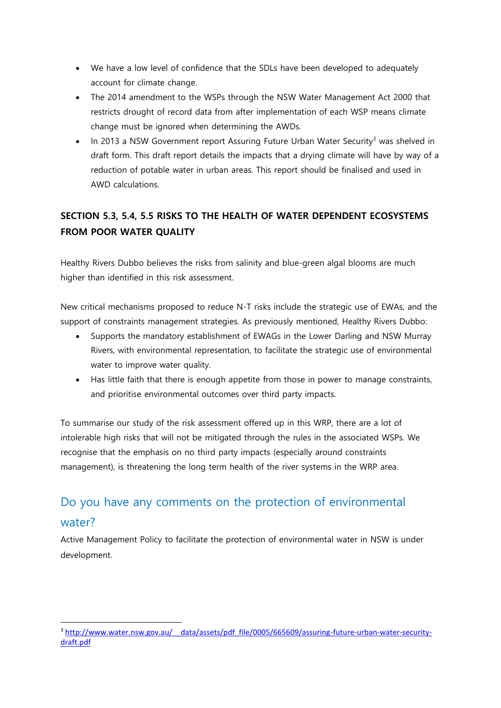- We have a low level of confidence that the SDLs have been developed to adequately account for climate change.
- The 2014 amendment to the WSPs through the NSW Water Management Act 2000 that restricts drought of record data from after implementation of each WSP means climate change must be ignored when determining the AWDs.
- In 2013 a NSW Government report Assuring Future Urban Water Security<sup>3</sup> was shelved in draft form. This draft report details the impacts that a drying climate will have by way of a reduction of potable water in urban areas. This report should be finalised and used in AWD calculations.

## **SECTION 5.3, 5.4, 5.5 RISKS TO THE HEALTH OF WATER DEPENDENT ECOSYSTEMS FROM POOR WATER QUALITY**

Healthy Rivers Dubbo believes the risks from salinity and blue-green algal blooms are much higher than identified in this risk assessment.

New critical mechanisms proposed to reduce N-T risks include the strategic use of EWAs, and the support of constraints management strategies. As previously mentioned, Healthy Rivers Dubbo:

- Supports the mandatory establishment of EWAGs in the Lower Darling and NSW Murray Rivers, with environmental representation, to facilitate the strategic use of environmental water to improve water quality.
- Has little faith that there is enough appetite from those in power to manage constraints, and prioritise environmental outcomes over third party impacts.

To summarise our study of the risk assessment offered up in this WRP, there are a lot of intolerable high risks that will not be mitigated through the rules in the associated WSPs. We recognise that the emphasis on no third party impacts (especially around constraints management), is threatening the long term health of the river systems in the WRP area.

## Do you have any comments on the protection of environmental water?

Active Management Policy to facilitate the protection of environmental water in NSW is under development.

**.** 

<sup>&</sup>lt;sup>3</sup> http://www.water.nsw.gov.au/ data/assets/pdf file/0005/665609/assuring-future-urban-water-security[draft.pdf](http://www.water.nsw.gov.au/__data/assets/pdf_file/0005/665609/assuring-future-urban-water-security-draft.pdf)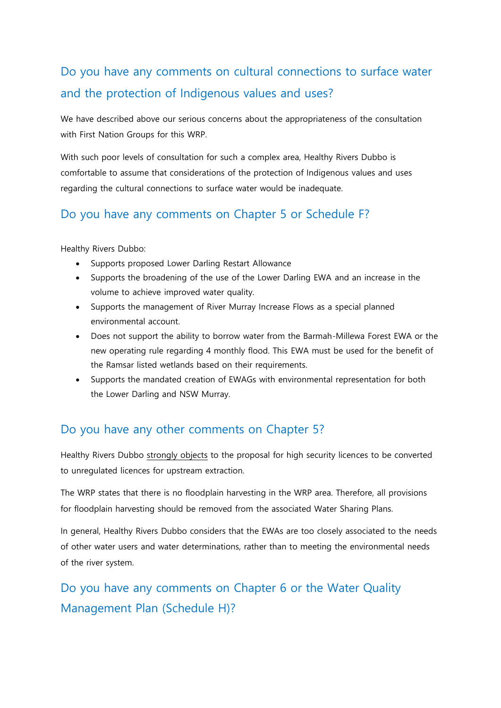## Do you have any comments on cultural connections to surface water and the protection of Indigenous values and uses?

We have described above our serious concerns about the appropriateness of the consultation with First Nation Groups for this WRP.

With such poor levels of consultation for such a complex area, Healthy Rivers Dubbo is comfortable to assume that considerations of the protection of Indigenous values and uses regarding the cultural connections to surface water would be inadequate.

## Do you have any comments on Chapter 5 or Schedule F?

Healthy Rivers Dubbo:

- Supports proposed Lower Darling Restart Allowance
- Supports the broadening of the use of the Lower Darling EWA and an increase in the volume to achieve improved water quality.
- Supports the management of River Murray Increase Flows as a special planned environmental account.
- Does not support the ability to borrow water from the Barmah-Millewa Forest EWA or the new operating rule regarding 4 monthly flood. This EWA must be used for the benefit of the Ramsar listed wetlands based on their requirements.
- Supports the mandated creation of EWAGs with environmental representation for both the Lower Darling and NSW Murray.

## Do you have any other comments on Chapter 5?

Healthy Rivers Dubbo strongly objects to the proposal for high security licences to be converted to unregulated licences for upstream extraction.

The WRP states that there is no floodplain harvesting in the WRP area. Therefore, all provisions for floodplain harvesting should be removed from the associated Water Sharing Plans.

In general, Healthy Rivers Dubbo considers that the EWAs are too closely associated to the needs of other water users and water determinations, rather than to meeting the environmental needs of the river system.

## Do you have any comments on Chapter 6 or the Water Quality Management Plan (Schedule H)?